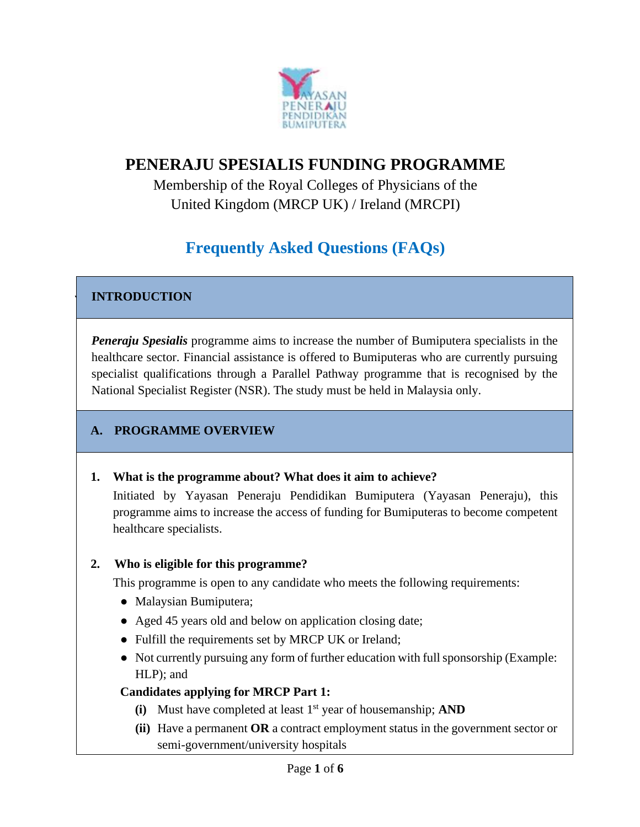

## **PENERAJU SPESIALIS FUNDING PROGRAMME**

Membership of the Royal Colleges of Physicians of the United Kingdom (MRCP UK) / Ireland (MRCPI)

# **Frequently Asked Questions (FAQs)**

### **INTRODUCTION**

*Peneraju Spesialis* programme aims to increase the number of Bumiputera specialists in the healthcare sector. Financial assistance is offered to Bumiputeras who are currently pursuing specialist qualifications through a Parallel Pathway programme that is recognised by the National Specialist Register (NSR). The study must be held in Malaysia only.

### **A. PROGRAMME OVERVIEW**

#### **1. What is the programme about? What does it aim to achieve?**

Initiated by Yayasan Peneraju Pendidikan Bumiputera (Yayasan Peneraju), this programme aims to increase the access of funding for Bumiputeras to become competent healthcare specialists.

#### **2. Who is eligible for this programme?**

This programme is open to any candidate who meets the following requirements:

- Malaysian Bumiputera;
- Aged 45 years old and below on application closing date;
- Fulfill the requirements set by MRCP UK or Ireland;
- Not currently pursuing any form of further education with full sponsorship (Example: HLP); and

#### **Candidates applying for MRCP Part 1:**

- (i) Must have completed at least 1<sup>st</sup> year of housemanship; **AND**
- **(ii)** Have a permanent **OR** a contract employment status in the government sector or semi-government/university hospitals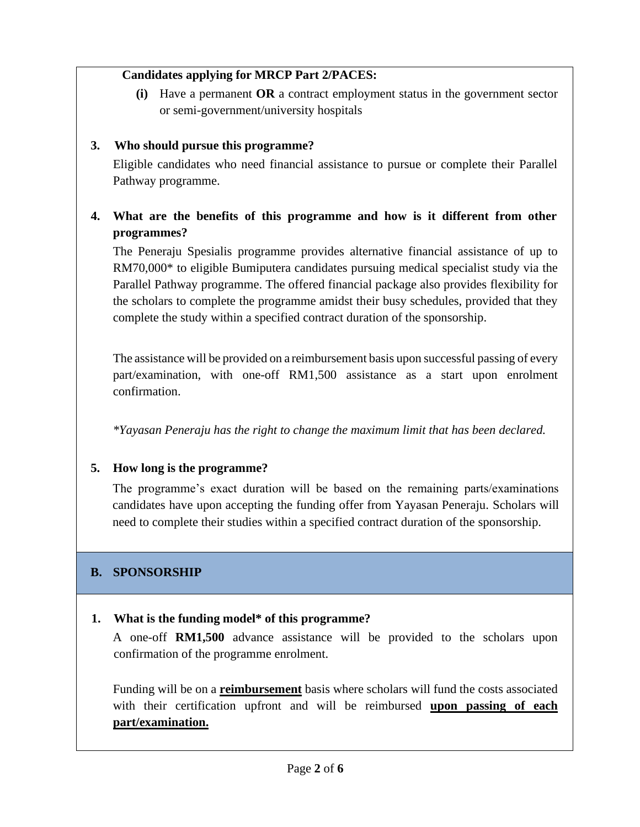#### **Candidates applying for MRCP Part 2/PACES:**

**(i)** Have a permanent **OR** a contract employment status in the government sector or semi-government/university hospitals

### **3. Who should pursue this programme?**

Eligible candidates who need financial assistance to pursue or complete their Parallel Pathway programme.

### **4. What are the benefits of this programme and how is it different from other programmes?**

The Peneraju Spesialis programme provides alternative financial assistance of up to RM70,000\* to eligible Bumiputera candidates pursuing medical specialist study via the Parallel Pathway programme. The offered financial package also provides flexibility for the scholars to complete the programme amidst their busy schedules, provided that they complete the study within a specified contract duration of the sponsorship.

The assistance will be provided on a reimbursement basis upon successful passing of every part/examination, with one-off RM1,500 assistance as a start upon enrolment confirmation.

*\*Yayasan Peneraju has the right to change the maximum limit that has been declared.*

### **5. How long is the programme?**

The programme's exact duration will be based on the remaining parts/examinations candidates have upon accepting the funding offer from Yayasan Peneraju. Scholars will need to complete their studies within a specified contract duration of the sponsorship.

### **B. SPONSORSHIP**

#### **1. What is the funding model\* of this programme?**

A one-off **RM1,500** advance assistance will be provided to the scholars upon confirmation of the programme enrolment.

Funding will be on a **reimbursement** basis where scholars will fund the costs associated with their certification upfront and will be reimbursed **upon passing of each part/examination.**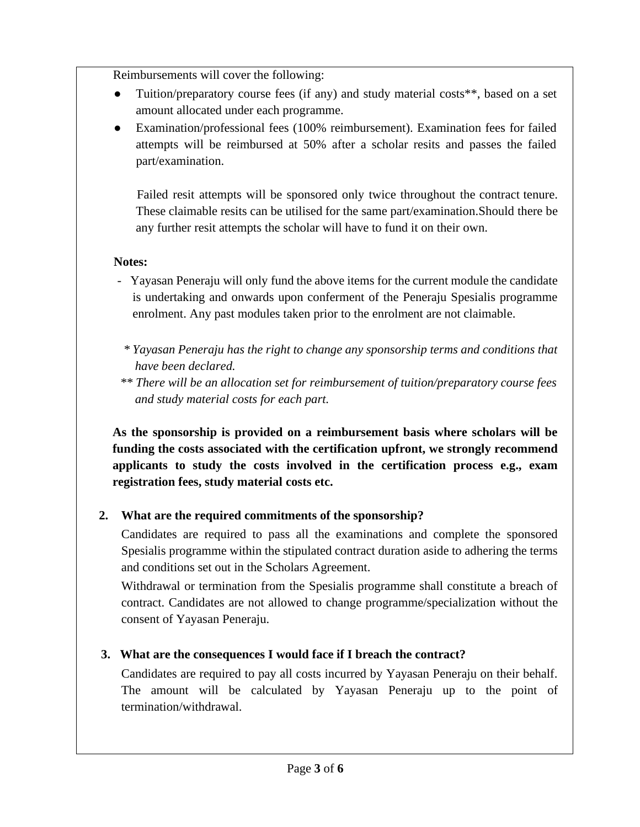Reimbursements will cover the following:

- Tuition/preparatory course fees (if any) and study material costs<sup>\*\*</sup>, based on a set amount allocated under each programme.
- Examination/professional fees (100% reimbursement). Examination fees for failed attempts will be reimbursed at 50% after a scholar resits and passes the failed part/examination.

Failed resit attempts will be sponsored only twice throughout the contract tenure. These claimable resits can be utilised for the same part/examination.Should there be any further resit attempts the scholar will have to fund it on their own.

### **Notes:**

- Yayasan Peneraju will only fund the above items for the current module the candidate is undertaking and onwards upon conferment of the Peneraju Spesialis programme enrolment. Any past modules taken prior to the enrolment are not claimable.
	- *\* Yayasan Peneraju has the right to change any sponsorship terms and conditions that have been declared.*
- *\*\* There will be an allocation set for reimbursement of tuition/preparatory course fees and study material costs for each part.*

**As the sponsorship is provided on a reimbursement basis where scholars will be funding the costs associated with the certification upfront, we strongly recommend applicants to study the costs involved in the certification process e.g., exam registration fees, study material costs etc.**

### **2. What are the required commitments of the sponsorship?**

Candidates are required to pass all the examinations and complete the sponsored Spesialis programme within the stipulated contract duration aside to adhering the terms and conditions set out in the Scholars Agreement.

Withdrawal or termination from the Spesialis programme shall constitute a breach of contract. Candidates are not allowed to change programme/specialization without the consent of Yayasan Peneraju.

### **3. What are the consequences I would face if I breach the contract?**

Candidates are required to pay all costs incurred by Yayasan Peneraju on their behalf. The amount will be calculated by Yayasan Peneraju up to the point of termination/withdrawal.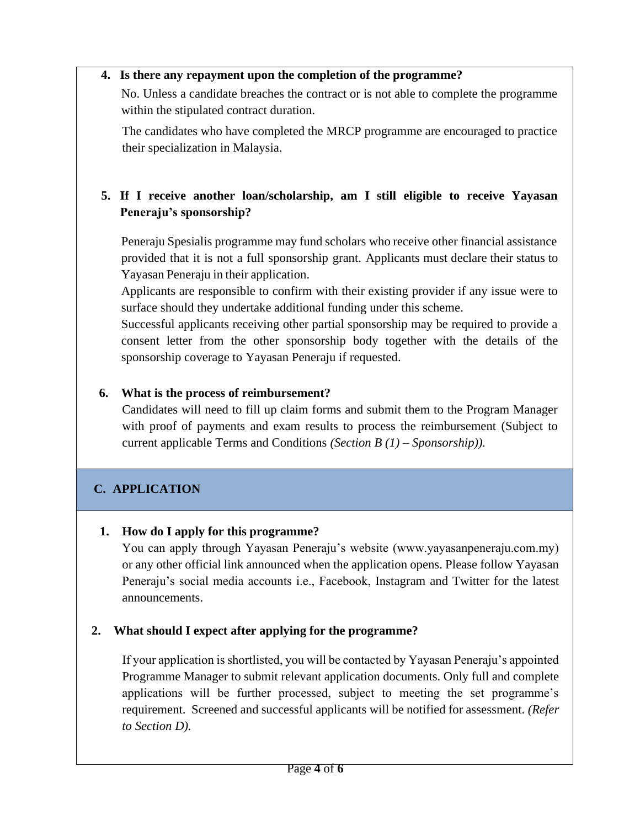#### **4. Is there any repayment upon the completion of the programme?**

No. Unless a candidate breaches the contract or is not able to complete the programme within the stipulated contract duration.

The candidates who have completed the MRCP programme are encouraged to practice their specialization in Malaysia.

### **5. If I receive another loan/scholarship, am I still eligible to receive Yayasan Peneraju's sponsorship?**

Peneraju Spesialis programme may fund scholars who receive other financial assistance provided that it is not a full sponsorship grant. Applicants must declare their status to Yayasan Peneraju in their application.

Applicants are responsible to confirm with their existing provider if any issue were to surface should they undertake additional funding under this scheme.

Successful applicants receiving other partial sponsorship may be required to provide a consent letter from the other sponsorship body together with the details of the sponsorship coverage to Yayasan Peneraju if requested.

#### **6. What is the process of reimbursement?**

Candidates will need to fill up claim forms and submit them to the Program Manager with proof of payments and exam results to process the reimbursement (Subject to current applicable Terms and Conditions *(Section B (1) – Sponsorship)).*

### **C. APPLICATION**

#### **1. How do I apply for this programme?**

You can apply through Yayasan Peneraju's website (www.yayasanpeneraju.com.my) or any other official link announced when the application opens. Please follow Yayasan Peneraju's social media accounts i.e., Facebook, Instagram and Twitter for the latest announcements.

#### **2. What should I expect after applying for the programme?**

If your application is shortlisted, you will be contacted by Yayasan Peneraju's appointed Programme Manager to submit relevant application documents. Only full and complete applications will be further processed, subject to meeting the set programme's requirement. Screened and successful applicants will be notified for assessment. *(Refer to Section D).*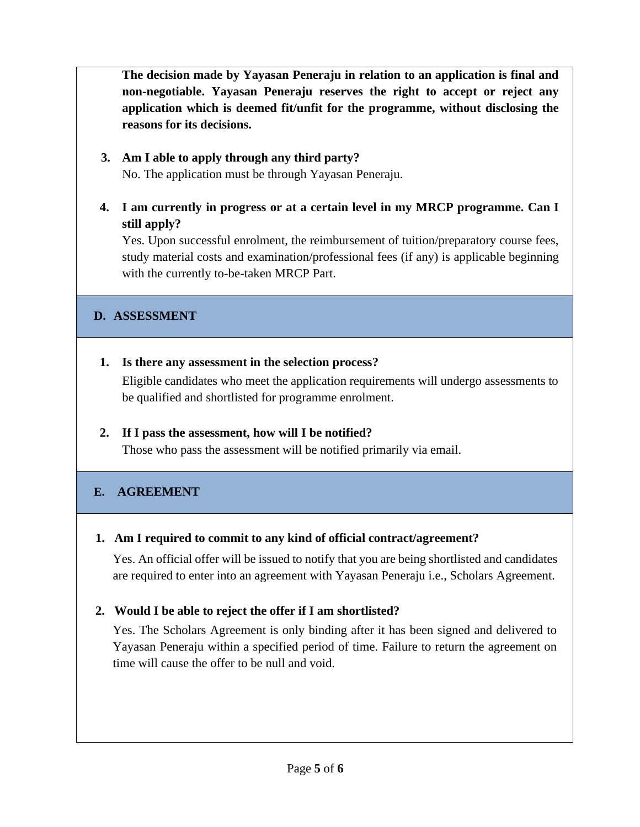**The decision made by Yayasan Peneraju in relation to an application is final and non-negotiable. Yayasan Peneraju reserves the right to accept or reject any application which is deemed fit/unfit for the programme, without disclosing the reasons for its decisions.**

#### **3. Am I able to apply through any third party?** No. The application must be through Yayasan Peneraju.

### **4. I am currently in progress or at a certain level in my MRCP programme. Can I still apply?**

Yes. Upon successful enrolment, the reimbursement of tuition/preparatory course fees, study material costs and examination/professional fees (if any) is applicable beginning with the currently to-be-taken MRCP Part.

#### **D. ASSESSMENT**

### **1. Is there any assessment in the selection process?**

Eligible candidates who meet the application requirements will undergo assessments to be qualified and shortlisted for programme enrolment.

### **2. If I pass the assessment, how will I be notified?**

Those who pass the assessment will be notified primarily via email.

### **E. AGREEMENT**

#### **1. Am I required to commit to any kind of official contract/agreement?**

Yes. An official offer will be issued to notify that you are being shortlisted and candidates are required to enter into an agreement with Yayasan Peneraju i.e., Scholars Agreement.

### **2. Would I be able to reject the offer if I am shortlisted?**

Yes. The Scholars Agreement is only binding after it has been signed and delivered to Yayasan Peneraju within a specified period of time. Failure to return the agreement on time will cause the offer to be null and void.